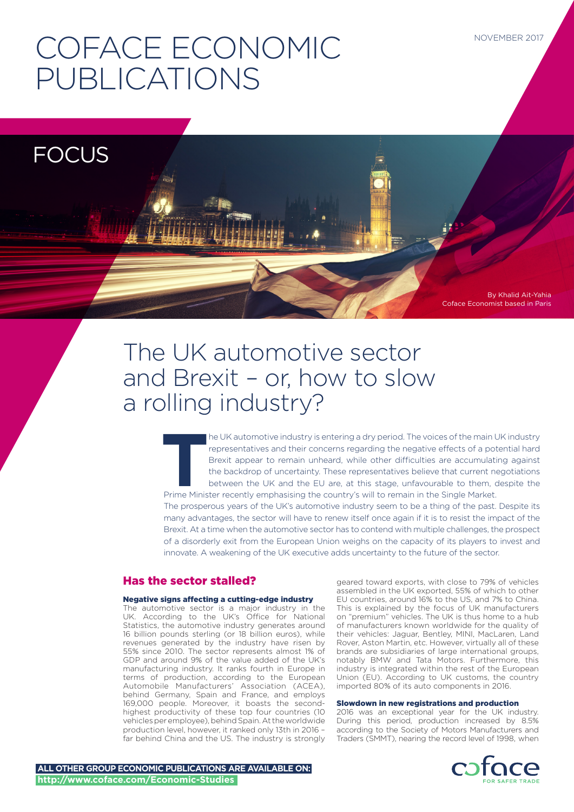# COFACE ECONOMIC PUBLICATIONS

**FOCUS** 

# By Khalid Ait-Yahia Coface Economist based in Paris

# The UK automotive sector and Brexit – or, how to slow a rolling industry?

The UK automotive industry is entering a dry period. The voices of the main UK industry representatives and their concerns regarding the negative effects of a potential hard Brexit appear to remain unheard, while other dif representatives and their concerns regarding the negative effects of a potential hard Brexit appear to remain unheard, while other difficulties are accumulating against the backdrop of uncertainty. These representatives believe that current negotiations between the UK and the EU are, at this stage, unfavourable to them, despite the

The prosperous years of the UK's automotive industry seem to be a thing of the past. Despite its many advantages, the sector will have to renew itself once again if it is to resist the impact of the Brexit. At a time when the automotive sector has to contend with multiple challenges, the prospect of a disorderly exit from the European Union weighs on the capacity of its players to invest and innovate. A weakening of the UK executive adds uncertainty to the future of the sector.

# Has the sector stalled?

# Negative signs affecting a cutting-edge industry

The automotive sector is a major industry in the UK. According to the UK's Office for National Statistics, the automotive industry generates around 16 billion pounds sterling (or 18 billion euros), while revenues generated by the industry have risen by 55% since 2010. The sector represents almost 1% of GDP and around 9% of the value added of the UK's manufacturing industry. It ranks fourth in Europe in terms of production, according to the European Automobile Manufacturers' Association (ACEA), behind Germany, Spain and France, and employs 169,000 people. Moreover, it boasts the secondhighest productivity of these top four countries (10 vehicles per employee), behind Spain. At the worldwide production level, however, it ranked only 13th in 2016 – far behind China and the US. The industry is strongly

geared toward exports, with close to 79% of vehicles assembled in the UK exported, 55% of which to other EU countries, around 16% to the US, and 7% to China. This is explained by the focus of UK manufacturers on "premium" vehicles. The UK is thus home to a hub of manufacturers known worldwide for the quality of their vehicles: Jaguar, Bentley, MINI, MacLaren, Land Rover, Aston Martin, etc. However, virtually all of these brands are subsidiaries of large international groups, notably BMW and Tata Motors. Furthermore, this industry is integrated within the rest of the European Union (EU). According to UK customs, the country imported 80% of its auto components in 2016.

# Slowdown in new registrations and production

2016 was an exceptional year for the UK industry. During this period, production increased by 8.5% according to the Society of Motors Manufacturers and Traders (SMMT), nearing the record level of 1998, when

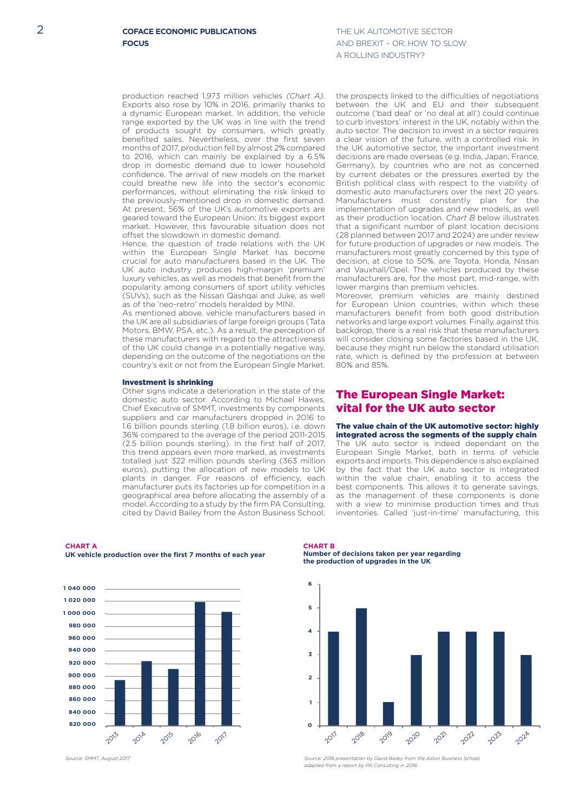THE LIK ALITOMOTIVE SECTOR AND BREXIT – OR, HOW TO SLOW A ROLLING INDUSTRY?

production reached 1,973 million vehicles *(Chart A)*. Exports also rose by 10% in 2016, primarily thanks to a dynamic European market. In addition, the vehicle range exported by the UK was in line with the trend of products sought by consumers, which greatly benefited sales. Nevertheless, over the first seven months of 2017, production fell by almost 2% compared to 2016, which can mainly be explained by a 6.5% drop in domestic demand due to lower household confidence. The arrival of new models on the market could breathe new life into the sector's economic performances, without eliminating the risk linked to the previously-mentioned drop in domestic demand. At present, 56% of the UK's automotive exports are geared toward the European Union: its biggest export market. However, this favourable situation does not offset the slowdown in domestic demand.

Hence, the question of trade relations with the UK within the European Single Market has become crucial for auto manufacturers based in the UK. The UK auto industry produces high-margin 'premium' luxury vehicles, as well as models that benefit from the popularity among consumers of sport utility vehicles (SUVs), such as the Nissan Qashqai and Juke, as well as of the 'neo-retro' models heralded by MINI.

As mentioned above, vehicle manufacturers based in the UK are all subsidiaries of large foreign groups (Tata Motors, BMW, PSA, etc.). As a result, the perception of these manufacturers with regard to the attractiveness of the UK could change in a potentially negative way, depending on the outcome of the negotiations on the country's exit or not from the European Single Market.

#### Investment is shrinking

Other signs indicate a deterioration in the state of the domestic auto sector. According to Michael Hawes, Chief Executive of SMMT, investments by components suppliers and car manufacturers dropped in 2016 to 1.6 billion pounds sterling (1.8 billion euros), i.e. down 36% compared to the average of the period 2011-2015 (2.5 billion pounds sterling). In the first half of 2017, this trend appears even more marked, as investments totalled just 322 million pounds sterling (363 million euros), putting the allocation of new models to UK plants in danger. For reasons of efficiency, each manufacturer puts its factories up for competition in a geographical area before allocating the assembly of a model. According to a study by the firm PA Consulting, cited by David Bailey from the Aston Business School,

**CHART A UK vehicle production over the first 7 months of each year**



*Source: SMMT, August 2017* 

**CHART B Number of decisions taken per year regarding the production of upgrades in the UK**

80% and 85%.



*Source: 2016 presentation by David Bailey from the Aston Business School, adapted from a report by PA Consulting in 2016.*

the prospects linked to the difficulties of negotiations between the UK and EU and their subsequent outcome ('bad deal' or 'no deal at all') could continue to curb investors' interest in the UK, notably within the auto sector. The decision to invest in a sector requires a clear vision of the future, with a controlled risk. In the UK automotive sector, the important investment decisions are made overseas (e.g. India, Japan, France, Germany), by countries who are not as concerned by current debates or the pressures exerted by the British political class with respect to the viability of domestic auto manufacturers over the next 20 years. Manufacturers must constantly plan for the implementation of upgrades and new models, as well as their production location. *Chart B* below illustrates that a significant number of plant location decisions (28 planned between 2017 and 2024) are under review for future production of upgrades or new models. The manufacturers most greatly concerned by this type of decision, at close to 50%, are Toyota, Honda, Nissan and Vauxhall/Opel. The vehicles produced by these

manufacturers are, for the most part, mid-range, with lower margins than premium vehicles. Moreover, premium vehicles are mainly destined for European Union countries, within which these manufacturers benefit from both good distribution networks and large export volumes. Finally, against this backdrop, there is a real risk that these manufacturers will consider closing some factories based in the UK. because they might run below the standard utilisation

rate, which is defined by the profession at between

# The European Single Market: vital for the UK auto sector

The value chain of the UK automotive sector: highly integrated across the segments of the supply chain The UK auto sector is indeed dependant on the European Single Market, both in terms of vehicle exports and imports. This dependence is also explained by the fact that the UK auto sector is integrated within the value chain, enabling it to access the best components. This allows it to generate savings, as the management of these components is done with a view to minimise production times and thus inventories. Called 'just-in-time' manufacturing, this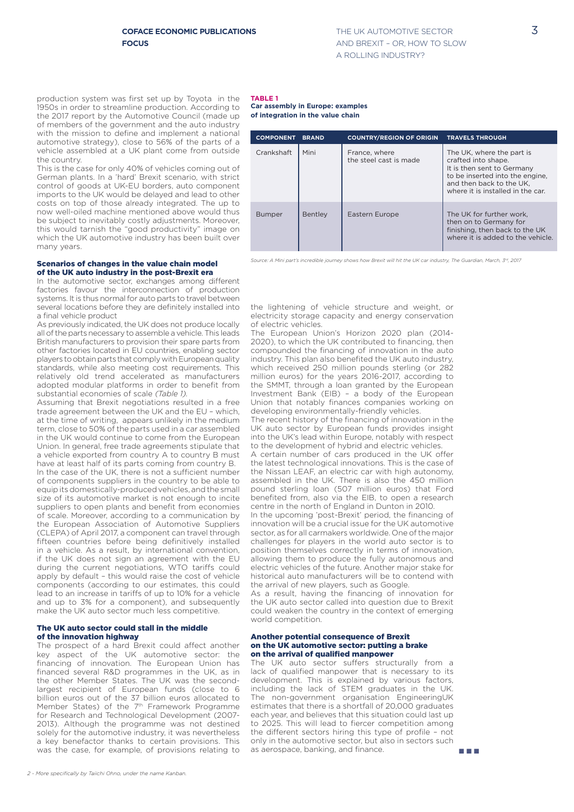production system was first set up by Toyota in the 1950s in order to streamline production. According to the 2017 report by the Automotive Council (made up of members of the government and the auto industry with the mission to define and implement a national automotive strategy), close to 56% of the parts of a vehicle assembled at a UK plant come from outside the country.

This is the case for only 40% of vehicles coming out of German plants. In a 'hard' Brexit scenario, with strict control of goods at UK-EU borders, auto component imports to the UK would be delayed and lead to other costs on top of those already integrated. The up to now well-oiled machine mentioned above would thus be subject to inevitably costly adjustments. Moreover, this would tarnish the "good productivity" image on which the UK automotive industry has been built over many years.

## Scenarios of changes in the value chain model of the UK auto industry in the post-Brexit era

In the automotive sector, exchanges among different factories favour the interconnection of production systems. It is thus normal for auto parts to travel between several locations before they are definitely installed into a final vehicle product

As previously indicated, the UK does not produce locally all of the parts necessary to assemble a vehicle. This leads British manufacturers to provision their spare parts from other factories located in EU countries, enabling sector players to obtain parts that comply with European quality standards, while also meeting cost requirements. This relatively old trend accelerated as manufacturers adopted modular platforms in order to benefit from substantial economies of scale *(Table 1).*

Assuming that Brexit negotiations resulted in a free trade agreement between the UK and the EU – which, at the time of writing, appears unlikely in the medium term, close to 50% of the parts used in a car assembled in the UK would continue to come from the European Union. In general, free trade agreements stipulate that a vehicle exported from country A to country B must have at least half of its parts coming from country B. In the case of the UK, there is not a sufficient number of components suppliers in the country to be able to equip its domestically-produced vehicles, and the small size of its automotive market is not enough to incite suppliers to open plants and benefit from economies of scale. Moreover, according to a communication by the European Association of Automotive Suppliers (CLEPA) of April 2017, a component can travel through fifteen countries before being definitively installed in a vehicle. As a result, by international convention, if the UK does not sign an agreement with the EU during the current negotiations, WTO tariffs could apply by default – this would raise the cost of vehicle components (according to our estimates, this could lead to an increase in tariffs of up to 10% for a vehicle and up to 3% for a component), and subsequently make the UK auto sector much less competitive.

## The UK auto sector could stall in the middle of the innovation highway

The prospect of a hard Brexit could affect another key aspect of the UK automotive sector: the financing of innovation. The European Union has financed several R&D programmes in the UK, as in the other Member States. The UK was the secondlargest recipient of European funds (close to 6 billion euros out of the 37 billion euros allocated to Member States) of the 7<sup>th</sup> Framework Programme for Research and Technological Development (2007- 2013). Although the programme was not destined solely for the automotive industry, it was nevertheless a key benefactor thanks to certain provisions. This was the case, for example, of provisions relating to as aerospace, banking, and finance.

#### **TABLE 1 Car assembly in Europe: examples of integration in the value chain**

| <b>COMPONENT</b> | <b>BRAND</b>   | <b>COUNTRY/REGION OF ORIGIN</b>         | <b>TRAVELS THROUGH</b>                                                                                                                                                             |
|------------------|----------------|-----------------------------------------|------------------------------------------------------------------------------------------------------------------------------------------------------------------------------------|
| Crankshaft       | Mini           | France, where<br>the steel cast is made | The UK, where the part is<br>crafted into shape.<br>It is then sent to Germany<br>to be inserted into the engine.<br>and then back to the UK.<br>where it is installed in the car. |
| <b>Bumper</b>    | <b>Bentley</b> | Eastern Europe                          | The UK for further work.<br>then on to Germany for<br>finishing, then back to the UK<br>where it is added to the vehicle.                                                          |

Source: A Mini part's incredible journey shows how Brexit will hit the UK car industry, The Guardian, March, 3<sup>rd</sup>, 2017

the lightening of vehicle structure and weight, or electricity storage capacity and energy conservation of electric vehicles.

The European Union's Horizon 2020 plan (2014- 2020), to which the UK contributed to financing, then compounded the financing of innovation in the auto industry. This plan also benefited the UK auto industry, which received 250 million pounds sterling (or 282 million euros) for the years 2016-2017, according to the SMMT, through a loan granted by the European Investment Bank (EIB) – a body of the European Union that notably finances companies working on developing environmentally-friendly vehicles.

The recent history of the financing of innovation in the UK auto sector by European funds provides insight into the UK's lead within Europe, notably with respect to the development of hybrid and electric vehicles.

A certain number of cars produced in the UK offer the latest technological innovations. This is the case of the Nissan LEAF, an electric car with high autonomy, assembled in the UK. There is also the 450 million pound sterling loan (507 million euros) that Ford benefited from, also via the EIB, to open a research centre in the north of England in Dunton in 2010.

In the upcoming 'post-Brexit' period, the financing of innovation will be a crucial issue for the UK automotive sector, as for all carmakers worldwide. One of the major challenges for players in the world auto sector is to position themselves correctly in terms of innovation, allowing them to produce the fully autonomous and electric vehicles of the future. Another major stake for historical auto manufacturers will be to contend with the arrival of new players, such as Google.

As a result, having the financing of innovation for the UK auto sector called into question due to Brexit could weaken the country in the context of emerging world competition.

#### Another potential consequence of Brexit on the UK automotive sector: putting a brake on the arrival of qualified manpower

The UK auto sector suffers structurally from a lack of qualified manpower that is necessary to its development. This is explained by various factors, including the lack of STEM graduates in the UK. The non-government organisation EngineeringUK estimates that there is a shortfall of 20,000 graduates each year, and believes that this situation could last up to 2025. This will lead to fiercer competition among the different sectors hiring this type of profile – not only in the automotive sector, but also in sectors such as aerospace, banking, and finance.